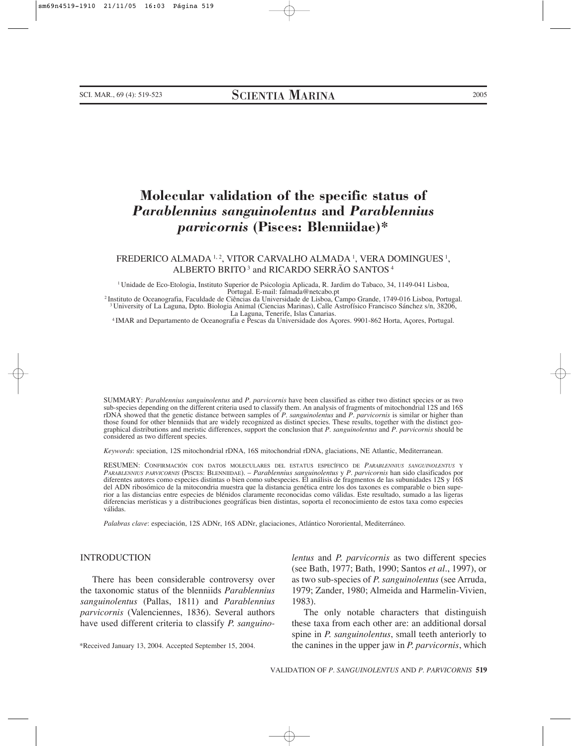# **Molecular validation of the specific status of** *Parablennius sanguinolentus* **and** *Parablennius parvicornis* **(Pisces: Blenniidae)\***

# FREDERICO ALMADA 1, 2, VITOR CARVALHO ALMADA 1, VERA DOMINGUES 1, ALBERTO BRITO<sup>3</sup> and RICARDO SERRÃO SANTOS<sup>4</sup>

1 Unidade de Eco-Etologia, Instituto Superior de Psicologia Aplicada, R. Jardim do Tabaco, 34, 1149-041 Lisboa, Portugal. E-mail: falmada@netcabo.pt 2 Instituto de Oceanografia, Faculdade de Ciências da Universidade de Lisboa, Campo Grande, 1749-016 Lisboa, Portugal.

3 University of La Laguna, Dpto. Biologia Animal (Ciencias Marinas), Calle Astrofísico Francisco Sánchez s/n, 38206,

<sup>4</sup> IMAR and Departamento de Oceanografia e Pescas da Universidade dos Açores. 9901-862 Horta, Açores, Portugal.

SUMMARY: *Parablennius sanguinolentus* and *P. parvicornis* have been classified as either two distinct species or as two sub-species depending on the different criteria used to classify them. An analysis of fragments of mitochondrial 12S and 16S rDNA showed that the genetic distance between samples of *P. sanguinolentus* and *P. parvicornis* is similar or higher than those found for other blenniids that are widely recognized as distinct species. These results, together with the distinct geographical distributions and meristic differences, support the conclusion that *P. sanguinolentus* and *P. parvicornis* should be considered as two different species.

*Keywords*: speciation, 12S mitochondrial rDNA, 16S mitochondrial rDNA, glaciations, NE Atlantic, Mediterranean.

RESUMEN: CONFIRMACIÓN CON DATOS MOLECULARES DEL ESTATUS ESPECÍFICO DE *PARABLENNIUS SANGUINOLENTUS* Y *PARABLENNIUS PARVICORNIS* (PISCES: BLENNIIDAE). – *Parablennius sanguinolentus* y *P. parvicornis* han sido clasificados por diferentes autores como especies distintas o bien como subespecies. El análisis de fragmentos de las subunidades 12S y 16S del ADN ribosómico de la mitocondria muestra que la distancia genética entre los dos taxones es comparable o bien superior a las distancias entre especies de blénidos claramente reconocidas como válidas. Este resultado, sumado a las ligeras diferencias merísticas y a distribuciones geográficas bien distintas, soporta el reconocimiento de estos taxa como especies válidas.

*Palabras clave*: especiación, 12S ADNr, 16S ADNr, glaciaciones, Atlántico Nororiental, Mediterráneo.

#### INTRODUCTION

There has been considerable controversy over the taxonomic status of the blenniids *Parablennius sanguinolentus* (Pallas, 1811) and *Parablennius parvicornis* (Valenciennes, 1836). Several authors have used different criteria to classify *P. sanguino-*

\*Received January 13, 2004. Accepted September 15, 2004.

*lentus* and *P. parvicornis* as two different species (see Bath, 1977; Bath, 1990; Santos *et al*., 1997), or as two sub-species of *P. sanguinolentus* (see Arruda, 1979; Zander, 1980; Almeida and Harmelin-Vivien, 1983).

The only notable characters that distinguish these taxa from each other are: an additional dorsal spine in *P. sanguinolentus*, small teeth anteriorly to the canines in the upper jaw in *P. parvicornis*, which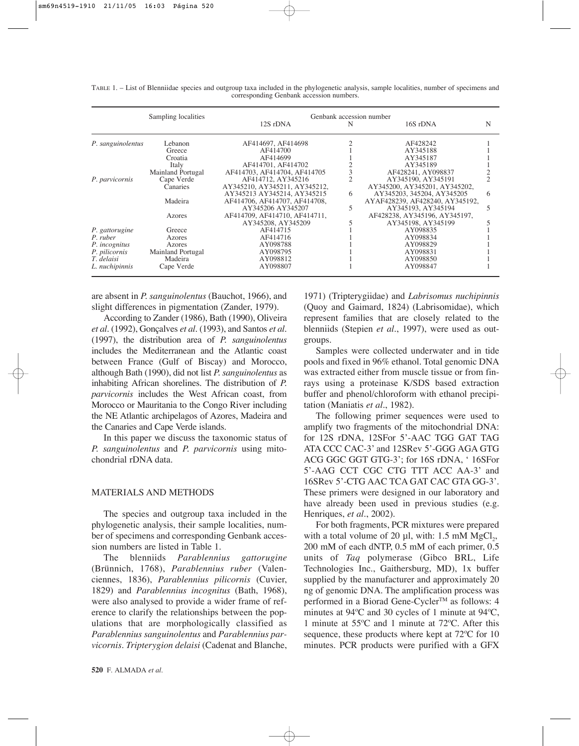|                   | Sampling localities | Genbank accession number      |   |                                 |   |
|-------------------|---------------------|-------------------------------|---|---------------------------------|---|
|                   |                     | 12S rDNA                      | N | 16S rDNA                        | N |
| P. sanguinolentus | Lebanon             | AF414697, AF414698            |   | AF428242                        |   |
|                   | Greece              | AF414700                      |   | AY345188                        |   |
|                   | Croatia             | AF414699                      |   | AY345187                        |   |
|                   | Italy               | AF414701, AF414702            |   | AY345189                        |   |
|                   | Mainland Portugal   | AF414703, AF414704, AF414705  | 3 | AF428241, AY098837              |   |
| P. parvicornis    | Cape Verde          | AF414712, AY345216            |   | AY345190, AY345191              |   |
|                   | Canaries            | AY345210, AY345211, AY345212, |   | AY345200, AY345201, AY345202,   |   |
|                   |                     | AY345213 AY345214, AY345215   | 6 | AY345203, 345204, AY345205      | 6 |
|                   | Madeira             | AF414706, AF414707, AF414708, |   | AYAF428239, AF428240, AY345192, |   |
|                   |                     | AY345206 AY345207             |   | AY345193, AY345194              |   |
|                   | Azores              | AF414709, AF414710, AF414711, |   | AF428238, AY345196, AY345197,   |   |
|                   |                     | AY345208, AY345209            |   | AY345198, AY345199              |   |
| P. gattorugine    | Greece              | AF414715                      |   | AY098835                        |   |
| P. ruber          | Azores              | AF414716                      |   | AY098834                        |   |
| P. incognitus     | Azores              | AY098788                      |   | AY098829                        |   |
| P. pilicornis     | Mainland Portugal   | AY098795                      |   | AY098831                        |   |
| T. delaisi        | Madeira             | AY098812                      |   | AY098850                        |   |
| L. nuchipinnis    | Cape Verde          | AY098807                      |   | AY098847                        |   |

TABLE 1. – List of Blenniidae species and outgroup taxa included in the phylogenetic analysis, sample localities, number of specimens and corresponding Genbank accession numbers.

are absent in *P. sanguinolentus* (Bauchot, 1966), and slight differences in pigmentation (Zander, 1979).

According to Zander (1986), Bath (1990), Oliveira *et al.* (1992), Gonçalves *et al.* (1993), and Santos *et al.* (1997), the distribution area of *P. sanguinolentus* includes the Mediterranean and the Atlantic coast between France (Gulf of Biscay) and Morocco, although Bath (1990), did not list *P. sanguinolentus* as inhabiting African shorelines. The distribution of *P. parvicornis* includes the West African coast, from Morocco or Mauritania to the Congo River including the NE Atlantic archipelagos of Azores, Madeira and the Canaries and Cape Verde islands.

In this paper we discuss the taxonomic status of *P. sanguinolentus* and *P. parvicornis* using mitochondrial rDNA data.

#### MATERIALS AND METHODS

The species and outgroup taxa included in the phylogenetic analysis, their sample localities, number of specimens and corresponding Genbank accession numbers are listed in Table 1.

The blenniids *Parablennius gattorugine* (Brünnich, 1768), *Parablennius ruber* (Valenciennes, 1836), *Parablennius pilicornis* (Cuvier, 1829) and *Parablennius incognitus* (Bath, 1968), were also analysed to provide a wider frame of reference to clarify the relationships between the populations that are morphologically classified as *Parablennius sanguinolentus* and *Parablennius parvicornis*. *Tripterygion delaisi* (Cadenat and Blanche,

1971) (Tripterygiidae) and *Labrisomus nuchipinnis* (Quoy and Gaimard, 1824) (Labrisomidae), which represent families that are closely related to the blenniids (Stepien *et al.*, 1997), were used as outgroups.

Samples were collected underwater and in tide pools and fixed in 96% ethanol. Total genomic DNA was extracted either from muscle tissue or from finrays using a proteinase K/SDS based extraction buffer and phenol/chloroform with ethanol precipitation (Maniatis *et al*., 1982).

The following primer sequences were used to amplify two fragments of the mitochondrial DNA: for 12S rDNA, 12SFor 5'-AAC TGG GAT TAG ATA CCC CAC-3' and 12SRev 5'-GGG AGA GTG ACG GGC GGT GTG-3'; for 16S rDNA, ' 16SFor 5'-AAG CCT CGC CTG TTT ACC AA-3' and 16SRev 5'-CTG AAC TCA GAT CAC GTA GG-3'. These primers were designed in our laboratory and have already been used in previous studies (e.g. Henriques, *et al.*, 2002).

For both fragments, PCR mixtures were prepared with a total volume of 20  $\mu$ l, with: 1.5 mM MgCl<sub>2</sub>, 200 mM of each dNTP, 0.5 mM of each primer, 0.5 units of *Taq* polymerase (Gibco BRL, Life Technologies Inc., Gaithersburg, MD), 1x buffer supplied by the manufacturer and approximately 20 ng of genomic DNA. The amplification process was performed in a Biorad Gene-Cycler<sup>™</sup> as follows: 4 minutes at 94ºC and 30 cycles of 1 minute at 94ºC, 1 minute at 55ºC and 1 minute at 72ºC. After this sequence, these products where kept at 72ºC for 10 minutes. PCR products were purified with a GFX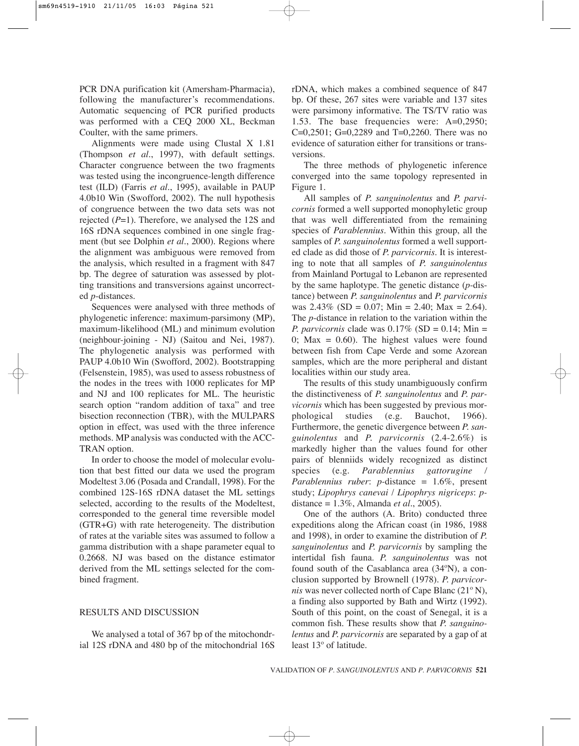PCR DNA purification kit (Amersham-Pharmacia), following the manufacturer's recommendations. Automatic sequencing of PCR purified products was performed with a CEQ 2000 XL, Beckman Coulter, with the same primers.

Alignments were made using Clustal X 1.81 (Thompson *et al.*, 1997), with default settings. Character congruence between the two fragments was tested using the incongruence-length difference test (ILD) (Farris *et al.*, 1995), available in PAUP 4.0b10 Win (Swofford, 2002). The null hypothesis of congruence between the two data sets was not rejected (*P*=1). Therefore, we analysed the 12S and 16S rDNA sequences combined in one single fragment (but see Dolphin *et al.*, 2000). Regions where the alignment was ambiguous were removed from the analysis, which resulted in a fragment with 847 bp. The degree of saturation was assessed by plotting transitions and transversions against uncorrected *p*-distances.

Sequences were analysed with three methods of phylogenetic inference: maximum-parsimony (MP), maximum-likelihood (ML) and minimum evolution (neighbour-joining - NJ) (Saitou and Nei, 1987). The phylogenetic analysis was performed with PAUP 4.0b10 Win (Swofford, 2002). Bootstrapping (Felsenstein, 1985), was used to assess robustness of the nodes in the trees with 1000 replicates for MP and NJ and 100 replicates for ML. The heuristic search option "random addition of taxa" and tree bisection reconnection (TBR), with the MULPARS option in effect, was used with the three inference methods. MP analysis was conducted with the ACC-TRAN option.

In order to choose the model of molecular evolution that best fitted our data we used the program Modeltest 3.06 (Posada and Crandall, 1998). For the combined 12S-16S rDNA dataset the ML settings selected, according to the results of the Modeltest, corresponded to the general time reversible model (GTR+G) with rate heterogeneity. The distribution of rates at the variable sites was assumed to follow a gamma distribution with a shape parameter equal to 0.2668. NJ was based on the distance estimator derived from the ML settings selected for the combined fragment.

## RESULTS AND DISCUSSION

We analysed a total of 367 bp of the mitochondrial 12S rDNA and 480 bp of the mitochondrial 16S rDNA, which makes a combined sequence of 847 bp. Of these, 267 sites were variable and 137 sites were parsimony informative. The TS/TV ratio was 1.53. The base frequencies were: A=0,2950; C=0,2501; G=0,2289 and T=0,2260. There was no evidence of saturation either for transitions or transversions.

The three methods of phylogenetic inference converged into the same topology represented in Figure 1.

All samples of *P. sanguinolentus* and *P. parvicornis* formed a well supported monophyletic group that was well differentiated from the remaining species of *Parablennius*. Within this group, all the samples of *P. sanguinolentus* formed a well supported clade as did those of *P. parvicornis*. It is interesting to note that all samples of *P. sanguinolentus* from Mainland Portugal to Lebanon are represented by the same haplotype. The genetic distance (*p-*distance) between *P. sanguinolentus* and *P. parvicornis* was  $2.43\%$  (SD = 0.07; Min = 2.40; Max = 2.64). The *p*-distance in relation to the variation within the *P. parvicornis* clade was  $0.17\%$  (SD = 0.14; Min = 0; Max  $= 0.60$ ). The highest values were found between fish from Cape Verde and some Azorean samples, which are the more peripheral and distant localities within our study area.

The results of this study unambiguously confirm the distinctiveness of *P. sanguinolentus* and *P. parvicornis* which has been suggested by previous morphological studies (e.g. Bauchot, 1966). Furthermore, the genetic divergence between *P. sanguinolentus* and *P. parvicornis* (2.4-2.6%) is markedly higher than the values found for other pairs of blenniids widely recognized as distinct species (e.g. *Parablennius gattorugine Parablennius ruber: p-distance = 1.6%, present* study; *Lipophrys canevai* / *Lipophrys nigriceps*: *p*distance = 1.3%, Almanda *et al.*, 2005).

One of the authors (A. Brito) conducted three expeditions along the African coast (in 1986, 1988 and 1998), in order to examine the distribution of *P. sanguinolentus* and *P. parvicornis* by sampling the intertidal fish fauna. *P. sanguinolentus* was not found south of the Casablanca area (34ºN), a conclusion supported by Brownell (1978). *P. parvicornis* was never collected north of Cape Blanc (21º N), a finding also supported by Bath and Wirtz (1992). South of this point, on the coast of Senegal, it is a common fish. These results show that *P. sanguinolentus* and *P. parvicornis* are separated by a gap of at least 13º of latitude.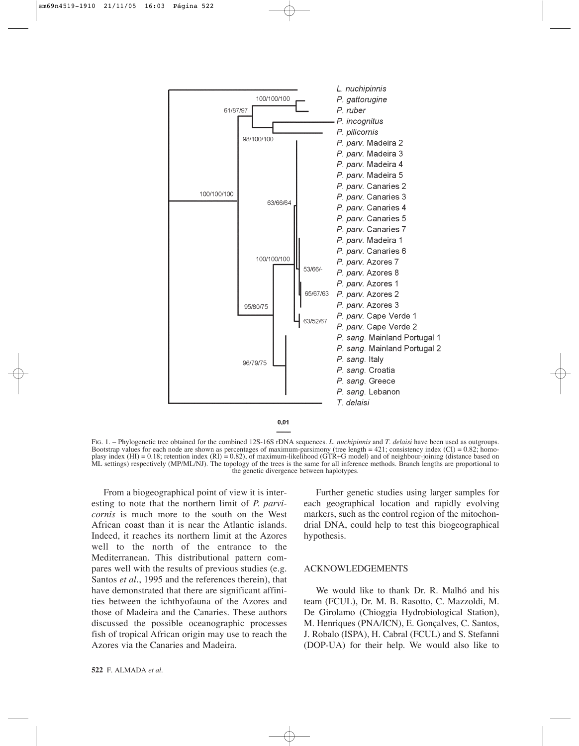

FIG. 1. – Phylogenetic tree obtained for the combined 12S-16S rDNA sequences. *L. nuchipinnis* and *T. delaisi* have been used as outgroups. Bootstrap values for each node are shown as percentages of maximum-parsimony (tree length = 421; consistency index (CI) = 0.82; homoplasy index (HI) = 0.18; retention index (RI) = 0.82), of maximum-likelihood (GTR+G model) and of neighbour-joining (distance based on ML settings) respectively (MP/ML/NJ). The topology of the trees is the same for all inference methods. Branch lengths are proportional to the genetic divergence between haplotypes.

From a biogeographical point of view it is interesting to note that the northern limit of *P. parvicornis* is much more to the south on the West African coast than it is near the Atlantic islands. Indeed, it reaches its northern limit at the Azores well to the north of the entrance to the Mediterranean. This distributional pattern compares well with the results of previous studies (e.g. Santos *et al.*, 1995 and the references therein), that have demonstrated that there are significant affinities between the ichthyofauna of the Azores and those of Madeira and the Canaries. These authors discussed the possible oceanographic processes fish of tropical African origin may use to reach the Azores via the Canaries and Madeira.

Further genetic studies using larger samples for each geographical location and rapidly evolving markers, such as the control region of the mitochondrial DNA, could help to test this biogeographical hypothesis.

## ACKNOWLEDGEMENTS

We would like to thank Dr. R. Malhó and his team (FCUL), Dr. M. B. Rasotto, C. Mazzoldi, M. De Girolamo (Chioggia Hydrobiological Station), M. Henriques (PNA/ICN), E. Gonçalves, C. Santos, J. Robalo (ISPA), H. Cabral (FCUL) and S. Stefanni (DOP-UA) for their help. We would also like to